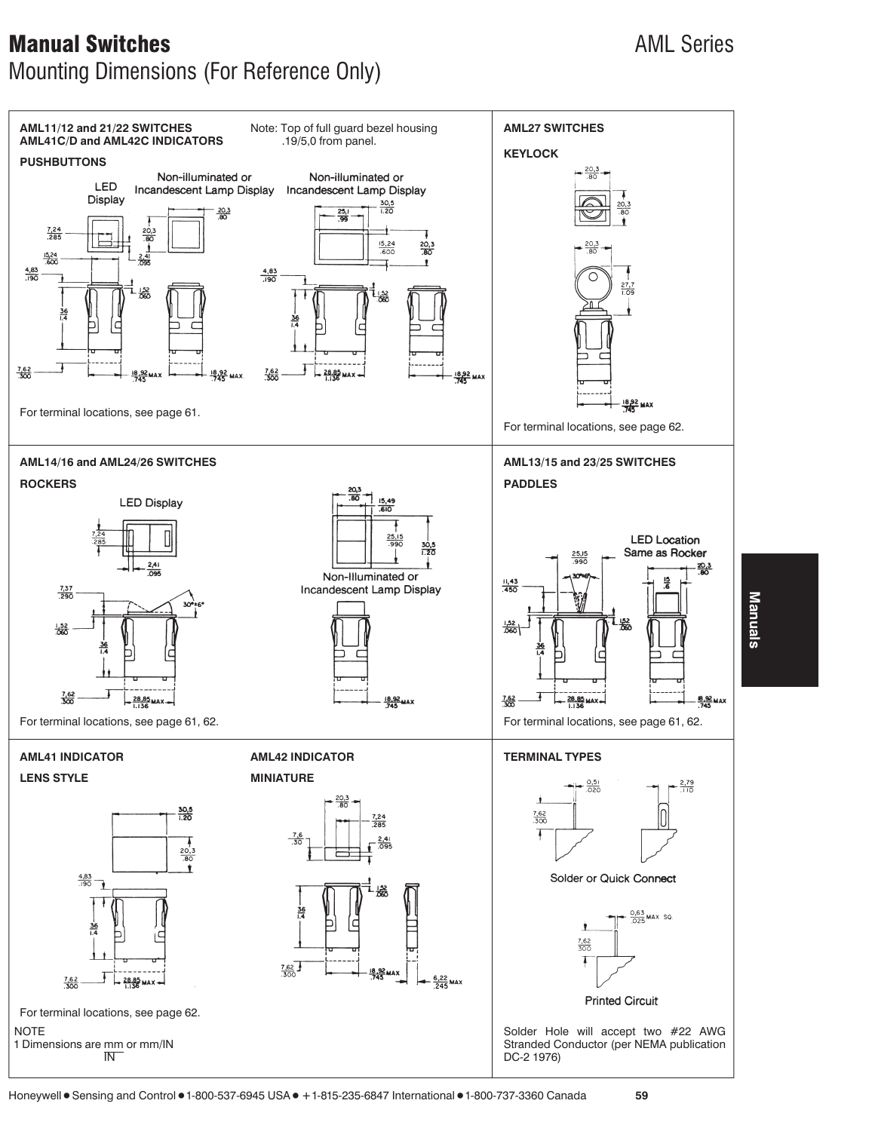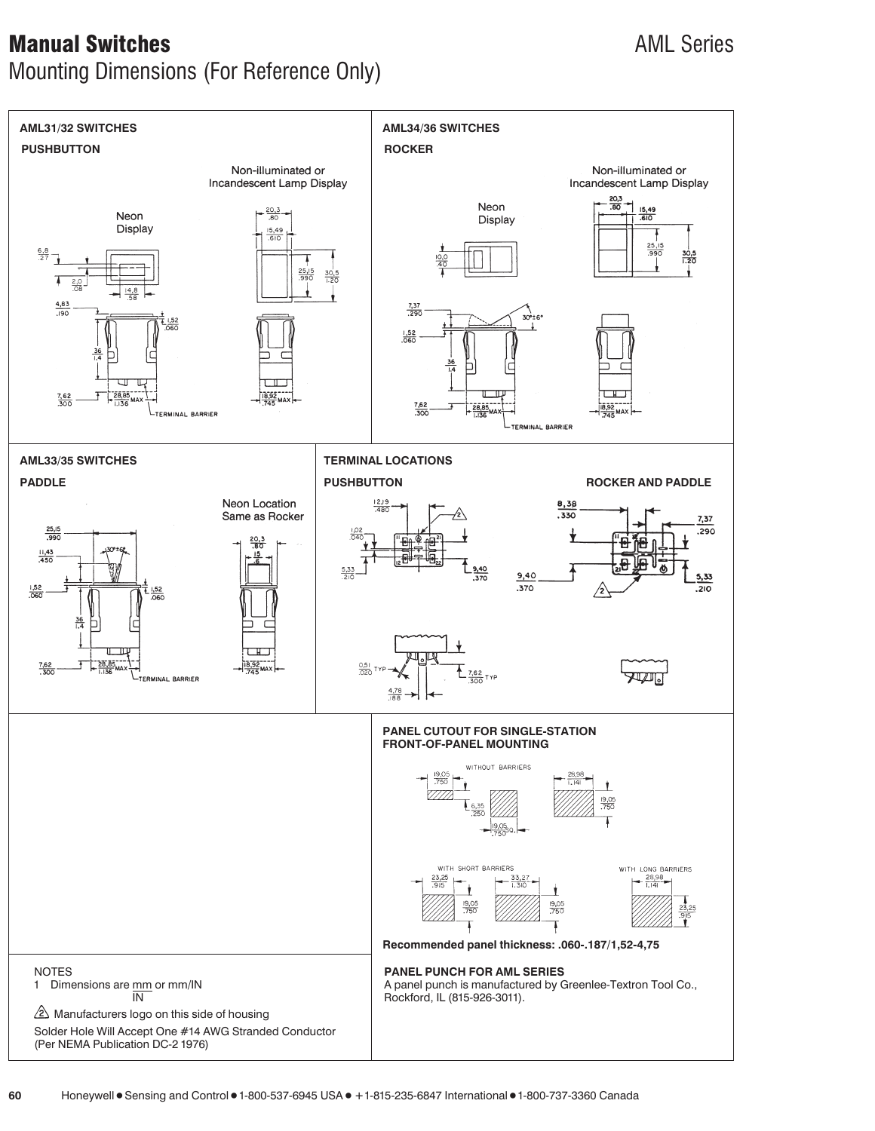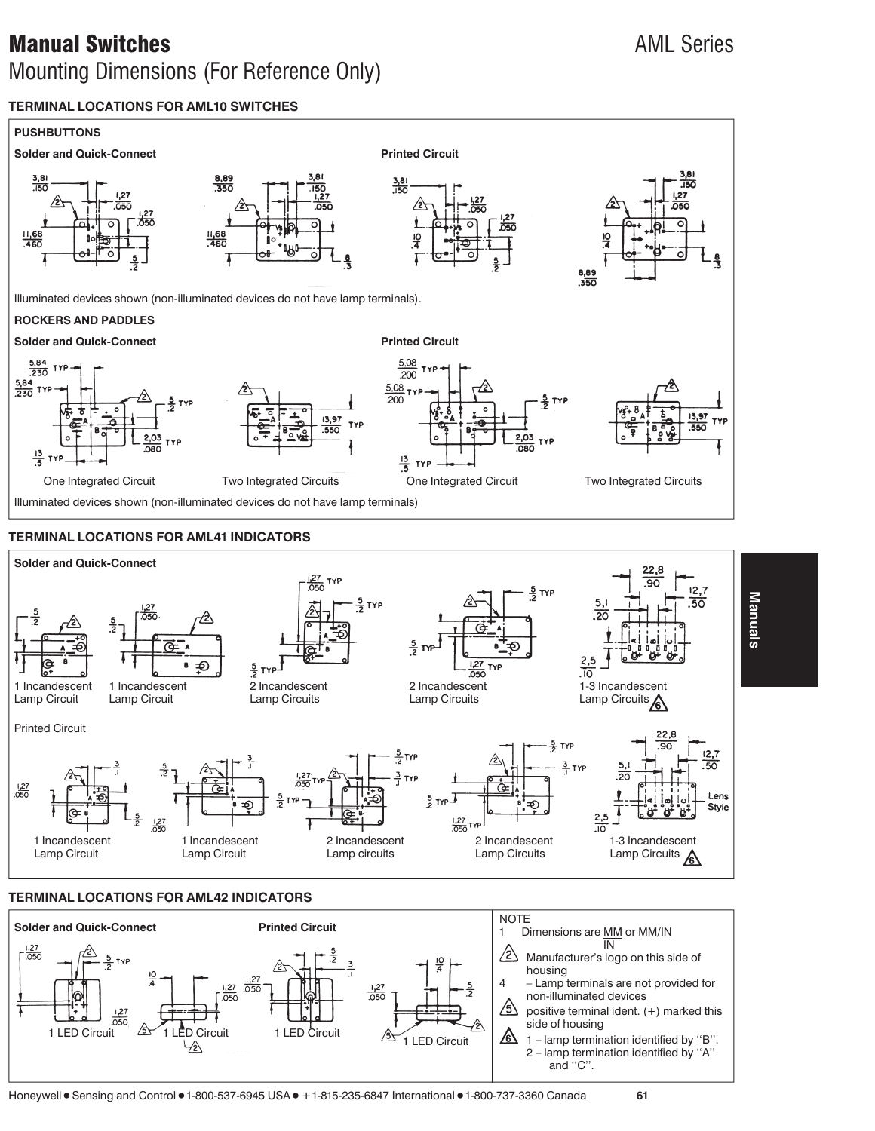## **TERMINAL LOCATIONS FOR AML10 SWITCHES**





### **TERMINAL LOCATIONS FOR AML42 INDICATORS**

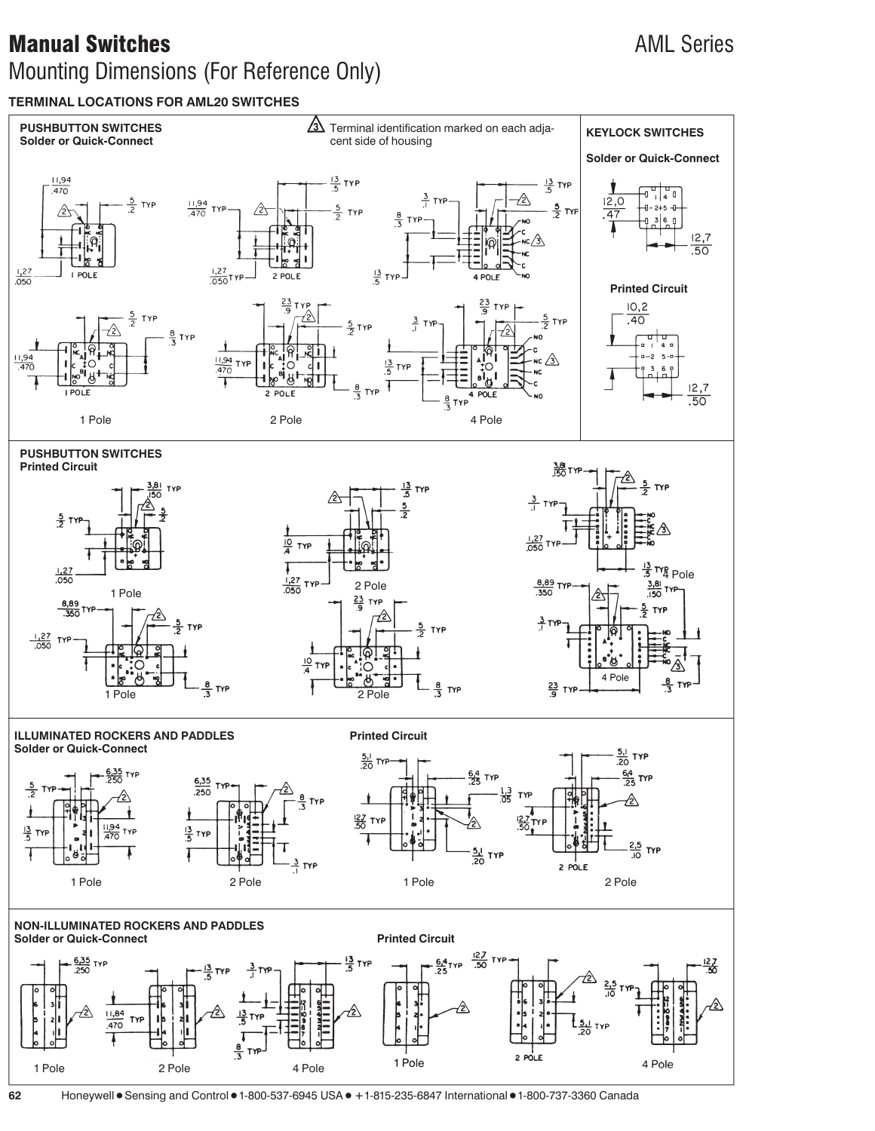## **TERMINAL LOCATIONS FOR AML20 SWITCHES**



**62** Honeywell • Sensing and Control • 1-800-537-6945 USA • +1-815-235-6847 International • 1-800-737-3360 Canada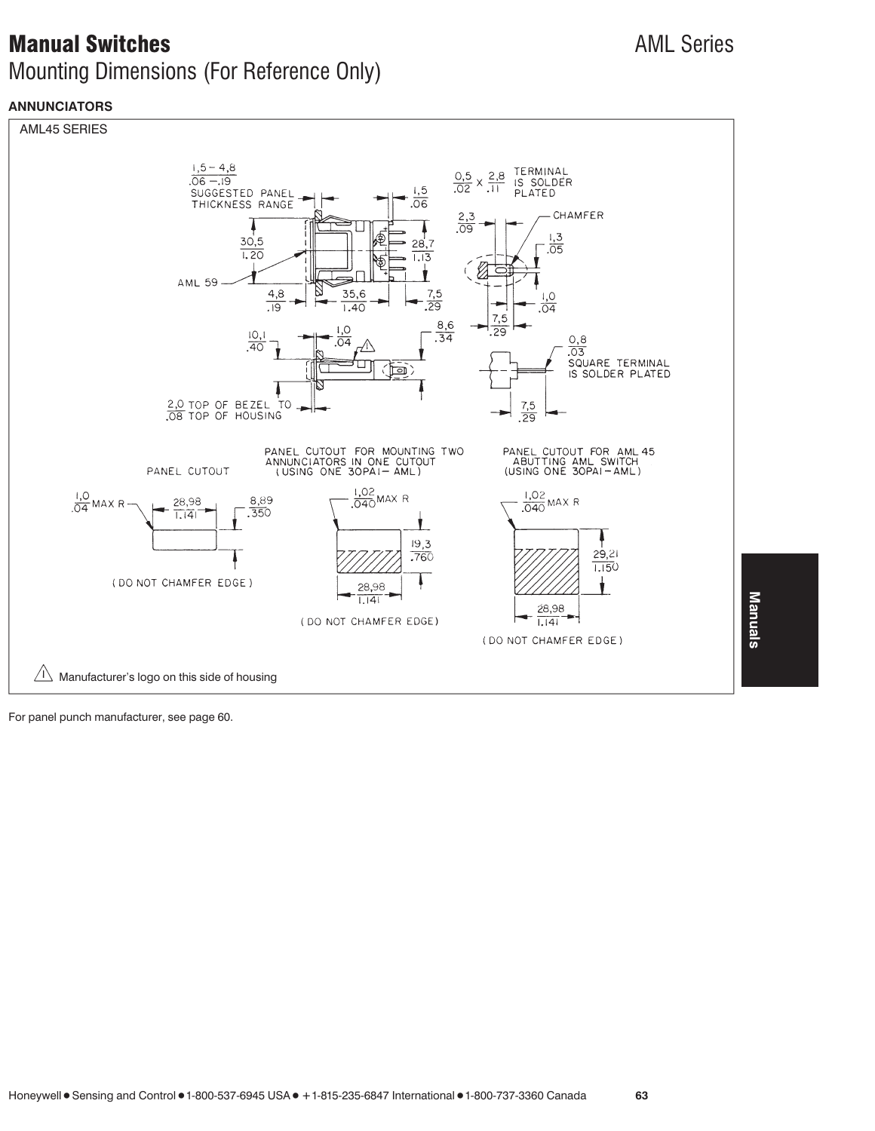# **Manual Switches** AML Series AML Series

# Mounting Dimensions (For Reference Only)

## **ANNUNCIATORS**



For panel punch manufacturer, see page 60.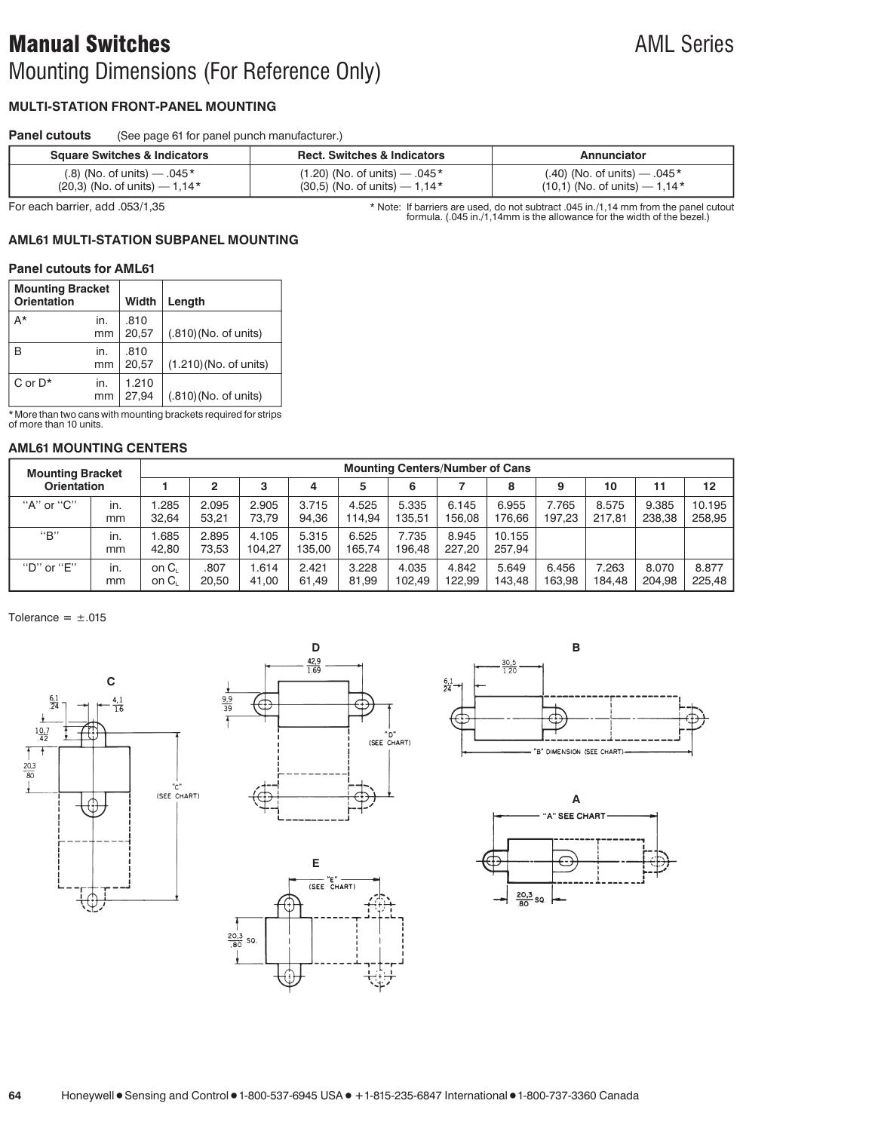## **MULTI-STATION FRONT-PANEL MOUNTING**

| <b>Panel cutouts</b> | (See page 61 for panel punch manufacturer.) |
|----------------------|---------------------------------------------|
|                      |                                             |

| <b>Square Switches &amp; Indicators</b> | <b>Rect. Switches &amp; Indicators</b> | Annunciator                     |  |  |  |
|-----------------------------------------|----------------------------------------|---------------------------------|--|--|--|
| $(0.8)$ (No. of units) — $.045*$        | $(1.20)$ (No. of units) — .045 *       | $(.40)$ (No. of units) — .045 * |  |  |  |
| $(20,3)$ (No. of units) – 1,14*         | $(30,5)$ (No. of units) – 1,14 $*$     | $(10,1)$ (No. of units) – 1,14* |  |  |  |

For each barrier, add .053/1,35 **barriers are used, do not subtract .045 in**./1,14 mm from the panel cutout<br>formula. (.045 in./1,14mm is the allowance for the width of the bezel.)

## **AML61 MULTI-STATION SUBPANEL MOUNTING**

#### **Panel cutouts for AML61**

| <b>Mounting Bracket</b><br><b>Orientation</b> |           | <b>Width</b>   | Length                 |
|-----------------------------------------------|-----------|----------------|------------------------|
| A*                                            | in.<br>mm | .810<br>20.57  | (.810) (No. of units)  |
| R                                             | in.<br>mm | .810<br>20.57  | (1.210) (No. of units) |
| $C$ or $D^*$                                  | in.<br>mm | 1.210<br>27,94 | (.810) (No. of units)  |

\*More than two cans with mounting brackets required for strips of more than 10 units.

#### **AML61 MOUNTING CENTERS**

| <b>Mounting Bracket</b> | <b>Mounting Centers/Number of Cans</b> |               |                |                 |                 |                 |                 |                 |                  |                 |                 |                 |                  |
|-------------------------|----------------------------------------|---------------|----------------|-----------------|-----------------|-----------------|-----------------|-----------------|------------------|-----------------|-----------------|-----------------|------------------|
| <b>Orientation</b>      |                                        |               |                | 3               | 4               | 5               | 6               |                 | 8                | 9               | 10              |                 | 12               |
| "A" or "C"              | in.<br>mm                              | .285<br>32.64 | 2.095<br>53.21 | 2.905<br>73.79  | 3.715<br>94,36  | 4.525<br>114.94 | 5.335<br>135.51 | 6.145<br>156.08 | 6.955<br>76.66   | 7.765<br>197.23 | 8.575<br>217.81 | 9.385<br>238,38 | 10.195<br>258,95 |
| "B"                     | in.<br>mm                              | .685<br>42.80 | 2.895<br>73.53 | 4.105<br>104.27 | 5.315<br>135.00 | 6.525<br>165.74 | 7.735<br>196.48 | 8.945<br>227.20 | 10.155<br>257.94 |                 |                 |                 |                  |
| "D" or "E"              | in.<br>mm                              | on C<br>on C  | .807<br>20.50  | .614<br>41.00   | 2.421<br>61,49  | 3.228<br>81.99  | 4.035<br>102.49 | 4.842<br>122.99 | 5.649<br>143.48  | 6.456<br>163.98 | 7.263<br>184.48 | 8.070<br>204,98 | 8.877<br>225.48  |

Tolerance  $= \pm .015$